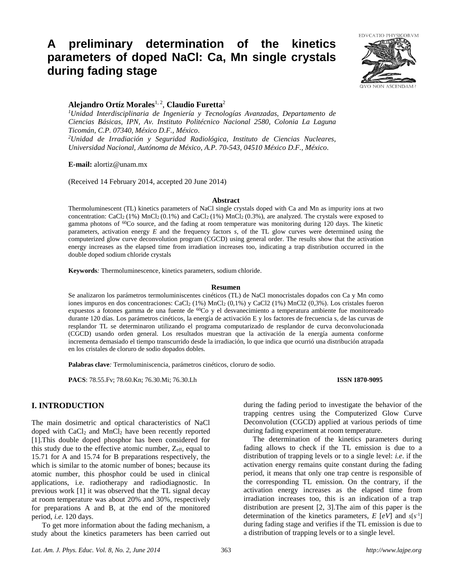# **A preliminary determination of the kinetics parameters of doped NaCl: Ca, Mn single crystals during fading stage**



# **Alejandro Ortíz Morales**1, 2 , **Claudio Furetta**<sup>2</sup>

*<sup>1</sup>Unidad Interdisciplinaria de Ingeniería y Tecnologías Avanzadas, Departamento de Ciencias Básicas, IPN, Av. Instituto Politécnico Nacional 2580, Colonia La Laguna Ticomán, C.P. 07340, México D.F., México.*

*<sup>2</sup>Unidad de Irradiación y Seguridad Radiológica, Instituto de Ciencias Nucleares, Universidad Nacional, Autónoma de México, A.P. 70-543, 04510 México D.F., México.*

**E-mail:** alortiz@unam.mx

(Received 14 February 2014, accepted 20 June 2014)

#### **Abstract**

Thermoluminescent (TL) kinetics parameters of NaCl single crystals doped with Ca and Mn as impurity ions at two concentration: CaCl<sub>2</sub> (1%) MnCl<sub>2</sub> (0.1%) and CaCl<sub>2</sub> (1%) MnCl<sub>2</sub> (0.3%), are analyzed. The crystals were exposed to gamma photons of <sup>60</sup>Co source, and the fading at room temperature was monitoring during 120 days. The kinetic parameters, activation energy *E* and the frequency factors *s*, of the TL glow curves were determined using the computerized glow curve deconvolution program (CGCD) using general order. The results show that the activation energy increases as the elapsed time from irradiation increases too, indicating a trap distribution occurred in the double doped sodium chloride crystals

**Keywords***:* Thermoluminescence, kinetics parameters, sodium chloride.

#### **Resumen**

Se analizaron los parámetros termoluminiscentes cinéticos (TL) de NaCl monocristales dopados con Ca y Mn como iones impuros en dos concentraciones: CaCl<sup>2</sup> (1%) MnCl<sup>2</sup> (0,1%) y CaCl2 (1%) MnCl2 (0,3%). Los cristales fueron expuestos a fotones gamma de una fuente de <sup>60</sup>Co y el desvanecimiento a temperatura ambiente fue monitoreado durante 120 días. Los parámetros cinéticos, la energía de activación E y los factores de frecuencia s, de las curvas de resplandor TL se determinaron utilizando el programa computarizado de resplandor de curva deconvolucionada (CGCD) usando orden general. Los resultados muestran que la activación de la energía aumenta conforme incrementa demasiado el tiempo transcurrido desde la irradiación, lo que indica que ocurrió una distribución atrapada en los cristales de cloruro de sodio dopados dobles.

**Palabras clave***:* Termoluminiscencia, parámetros cinéticos, cloruro de sodio.

**PACS**: 78.55.Fv; 78.60.Kn; 76.30.Mi; 76.30.Lh **ISSN 1870-9095**

# **I. INTRODUCTION**

The main dosimetric and optical characteristics of NaCl doped with CaCl<sub>2</sub> and MnCl<sub>2</sub> have been recently reported [1].This double doped phosphor has been considered for this study due to the effective atomic number,  $Z_{\text{eff}}$ , equal to 15.71 for A and 15.74 for B preparations respectively, the which is similar to the atomic number of bones; because its atomic number, this phosphor could be used in clinical applications, i.e. radiotherapy and radiodiagnostic. In previous work [1] it was observed that the TL signal decay at room temperature was about 20% and 30%, respectively for preparations A and B, at the end of the monitored period, *i.e*. 120 days.

To get more information about the fading mechanism, a study about the kinetics parameters has been carried out during the fading period to investigate the behavior of the trapping centres using the Computerized Glow Curve Deconvolution (CGCD) applied at various periods of time during fading experiment at room temperature.

 The determination of the kinetics parameters during fading allows to check if the TL emission is due to a distribution of trapping levels or to a single level: *i.e*. if the activation energy remains quite constant during the fading period, it means that only one trap centre is responsible of the corresponding TL emission. On the contrary, if the activation energy increases as the elapsed time from irradiation increases too, this is an indication of a trap distribution are present [2, 3].The aim of this paper is the determination of the kinetics parameters, *E* [*eV*] and *s*[s-1 ] during fading stage and verifies if the TL emission is due to a distribution of trapping levels or to a single level.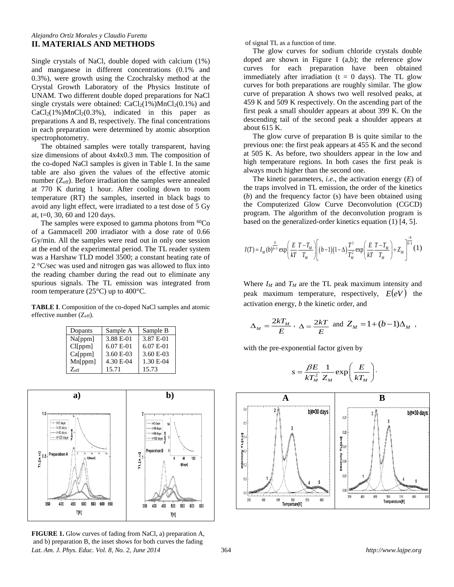#### *Alejandro Ortíz Morales y Claudio Furetta* **II. MATERIALS AND METHODS**

Single crystals of NaCl, double doped with calcium (1%) and manganese in different concentrations (0.1% and 0.3%), were growth using the Czochralsky method at the Crystal Growth Laboratory of the Physics Institute of UNAM. Two different double doped preparations for NaCl single crystals were obtained:  $CaCl<sub>2</sub>(1%)MnCl<sub>2</sub>(0.1%)$  and  $CaCl<sub>2</sub>(1%)MnCl<sub>2</sub>(0.3%)$ , indicated in this paper as preparations A and B, respectively. The final concentrations in each preparation were determined by atomic absorption spectrophotometry.

 The obtained samples were totally transparent, having size dimensions of about 4x4x0.3 mm. The composition of the co-doped NaCl samples is given in Table I. In the same table are also given the values of the effective atomic number  $(Z_{\text{eff}})$ . Before irradiation the samples were annealed at 770 K during 1 hour. After cooling down to room temperature (RT) the samples, inserted in black bags to avoid any light effect, were irradiated to a test dose of 5 Gy at,  $t=0$ , 30, 60 and 120 days.

The samples were exposed to gamma photons from  ${}^{60}Co$ of a Gammacell 200 irradiator with a dose rate of 0.66 Gy/min. All the samples were read out in only one session at the end of the experimental period. The TL reader system was a Harshaw TLD model 3500; a constant heating rate of 2 °C/sec was used and nitrogen gas was allowed to flux into the reading chamber during the read out to eliminate any spurious signals. The TL emission was integrated from room temperature (25°C) up to 400°C.

**TABLE I**. Composition of the co-doped NaCl samples and atomic effective number (Zeff).

| Dopants       | Sample A  | Sample B    |
|---------------|-----------|-------------|
| Na[ppm]       | 3.88 E-01 | 3.87 E-01   |
| Cl[ppm]       | 6.07 E-01 | $6.07 E-01$ |
| Ca[ppm]       | 3.60 E-03 | 3.60 E-03   |
| Mn[ppm]       | 4.30 E-04 | 1.30 E-04   |
| $Z_{\rm eff}$ | 15.71     | 15.73       |



*Lat. Am. J. Phys. Educ. Vol. 8, No. 2, June 2014* 364 *http://www.lajpe.org* **FIGURE 1.** Glow curves of fading from NaCl, a) preparation A, and b) preparation B, the inset shows for both curves the fading

of signal TL as a function of time.

 The glow curves for sodium chloride crystals double doped are shown in Figure I  $(a,b)$ ; the reference glow curves for each preparation have been obtained immediately after irradiation ( $t = 0$  days). The TL glow curves for both preparations are roughly similar. The glow curve of preparation A shows two well resolved peaks, at 459 K and 509 K respectively. On the ascending part of the first peak a small shoulder appears at about 399 K. On the descending tail of the second peak a shoulder appears at about 615 K.

 The glow curve of preparation B is quite similar to the previous one: the first peak appears at 455 K and the second at 505 K. As before, two shoulders appear in the low and high temperature regions. In both cases the first peak is always much higher than the second one.

 The kinetic parameters, *i.e*., the activation energy (*E*) of the traps involved in TL emission, the order of the kinetics (*b*) and the frequency factor (s) have been obtained using the Computerized Glow Curve Deconvolution (CGCD) program. The algorithm of the deconvolution program is based on the generalized-order kinetics equation (1) [4, 5].

$$
I(T) = I_M(b)^{\frac{b}{b-1}} \exp\left(\frac{E}{kT} \frac{T - T_M}{T_M}\right) \left[ (b-1)(1-\Delta) \frac{T^2}{T_M^2} \exp\left(\frac{E}{kT} \frac{T - T_M}{T_M}\right) + Z_M \right]^{\frac{-b}{b-1}} (1)
$$

Where  $I_M$  and  $T_M$  are the TL peak maximum intensity and peak maximum temperature, respectively,  $E(eV)$  the activation energy, *b* the kinetic order, and

$$
\Delta_M = \frac{2kT_M}{E}, \ \Delta = \frac{2kT}{E} \text{ and } Z_M = 1 + (b-1)\Delta_M,
$$

with the pre-exponential factor given by



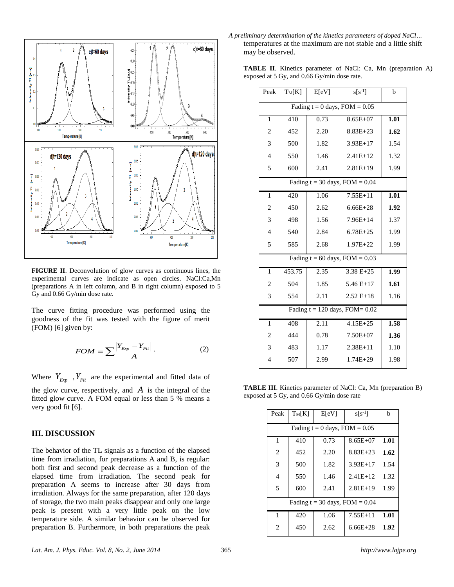

**FIGURE II**. Deconvolution of glow curves as continuous lines, the experimental curves are indicate as open circles. NaCl:Ca,Mn (preparations A in left column, and B in right column) exposed to 5 Gy and 0.66 Gy/min dose rate.

The curve fitting procedure was performed using the goodness of the fit was tested with the figure of merit (FOM) [6] given by:

$$
FOM = \sum \frac{|Y_{Exp} - Y_{Fit}|}{A}.
$$
 (2)

Where  $Y_{Exp}$ ,  $Y_{Fit}$  are the experimental and fitted data of the glow curve, respectively, and  $\vec{A}$  is the integral of the fitted glow curve. A FOM equal or less than 5 % means a very good fit [6].

#### **III. DISCUSSION**

The behavior of the TL signals as a function of the elapsed time from irradiation, for preparations A and B, is regular: both first and second peak decrease as a function of the elapsed time from irradiation. The second peak for preparation A seems to increase after 30 days from irradiation. Always for the same preparation, after 120 days of storage, the two main peaks disappear and only one large peak is present with a very little peak on the low temperature side. A similar behavior can be observed for preparation B. Furthermore, in both preparations the peak

*A preliminary determination of the kinetics parameters of doped NaCl…* temperatures at the maximum are not stable and a little shift may be observed.

**TABLE II**. Kinetics parameter of NaCl: Ca, Mn (preparation A) exposed at 5 Gy, and 0.66 Gy/min dose rate.

| Peak                               | $T_M[K]$                           | E[eV] | $s[s^{-1}]$   | b                 |
|------------------------------------|------------------------------------|-------|---------------|-------------------|
|                                    | Fading $t = 0$ days, $FOM = 0.05$  |       |               |                   |
| $\mathbf{1}$                       | 410                                | 0.73  | $8.65E + 07$  | $\overline{1.01}$ |
| $\overline{2}$                     | 452                                | 2.20  | $8.83E + 23$  | 1.62              |
| 3                                  | 500                                | 1.82  | $3.93E+17$    | 1.54              |
| $\overline{4}$                     | 550                                | 1.46  | $2.41E+12$    | 1.32              |
| 5                                  | 600                                | 2.41  | $2.81E+19$    | 1.99              |
|                                    | Fading $t = 30$ days, $FOM = 0.04$ |       |               |                   |
| 1                                  | 420                                | 1.06  | 7.55E+11      | $\overline{1.01}$ |
| $\overline{2}$                     | 450                                | 2.62  | $6.66E + 28$  | 1.92              |
| 3                                  | 498                                | 1.56  | $7.96E+14$    | 1.37              |
| $\overline{4}$                     | 540                                | 2.84  | $6.78E + 25$  | 1.99              |
| 5                                  | 585                                | 2.68  | $1.97E + 22$  | 1.99              |
| Fading $t = 60$ days, $FOM = 0.03$ |                                    |       |               |                   |
| $\mathbf{1}$                       | 453.75                             | 2.35  | $3.38 E + 25$ | 1.99              |
| $\overline{c}$                     | 504                                | 1.85  | $5.46E+17$    | 1.61              |
| 3                                  | 554                                | 2.11  | $2.52 E+18$   | 1.16              |
| Fading $t = 120$ days, FOM= $0.02$ |                                    |       |               |                   |
| $\mathbf{1}$                       | 408                                | 2.11  | $4.15E + 25$  | 1.58              |
| $\overline{2}$                     | 444                                | 0.78  | $7.50E + 07$  | 1.36              |
| 3                                  | 483                                | 1.17  | $2.38E + 11$  | 1.10              |
| 4                                  | 507                                | 2.99  | 1.74E+29      | 1.98              |

**TABLE III**. Kinetics parameter of NaCl: Ca, Mn (preparation B) exposed at 5 Gy, and 0.66 Gy/min dose rate

| Peak                               | $T_M[K]$ | E[eV] | $s[s^{-1}]$  | h    |
|------------------------------------|----------|-------|--------------|------|
| Fading $t = 0$ days, $FOM = 0.05$  |          |       |              |      |
| 1                                  | 410      | 0.73  | $8.65E + 07$ | 1.01 |
| 2                                  | 452      | 2.20  | $8.83E + 23$ | 1.62 |
| 3                                  | 500      | 1.82  | $3.93E+17$   | 1.54 |
| $\overline{4}$                     | 550      | 1.46  | $2.41E+12$   | 1.32 |
| 5                                  | 600      | 2.41  | $2.81E+19$   | 1.99 |
| Fading $t = 30$ days, $FOM = 0.04$ |          |       |              |      |
| 1                                  | 420      | 1.06  | $7.55E+11$   | 1.01 |
| $\overline{c}$                     | 450      | 2.62  | $6.66E + 28$ | 1.92 |
|                                    |          |       |              |      |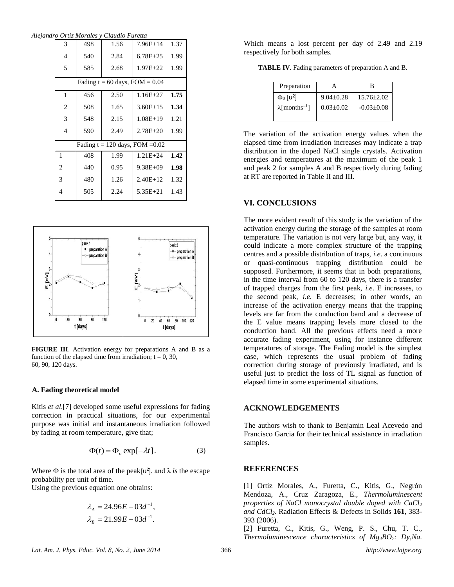*Alejandro Ortíz Morales y Claudio Furetta*

| 3                                 | 498                                | 1.56 | $7.96E+14$   | 1.37 |
|-----------------------------------|------------------------------------|------|--------------|------|
| 4                                 | 540                                | 2.84 | $6.78E + 25$ | 1.99 |
| 5                                 | 585                                | 2.68 | $1.97E + 22$ | 1.99 |
|                                   | Fading $t = 60$ days, $FOM = 0.04$ |      |              |      |
| 1                                 | 456                                | 2.50 | $1.16E + 27$ | 1.75 |
| $\overline{c}$                    | 508                                | 1.65 | $3.60E+15$   | 1.34 |
| 3                                 | 548                                | 2.15 | $1.08E + 19$ | 1.21 |
| $\overline{4}$                    | 590                                | 2.49 | $2.78E + 20$ | 1.99 |
| Fading $t = 120$ days, FOM = 0.02 |                                    |      |              |      |
| $\mathbf{1}$                      | 408                                | 1.99 | $1.21E + 24$ | 1.42 |
| 2                                 | 440                                | 0.95 | $9.38E + 09$ | 1.98 |
| 3                                 | 480                                | 1.26 | $2.40E+12$   | 1.32 |
| 4                                 | 505                                | 2.24 | $5.35E + 21$ | 1.43 |
|                                   |                                    |      |              |      |



**FIGURE III**. Activation energy for preparations A and B as a function of the elapsed time from irradiation;  $t = 0$ , 30, 60, 90, 120 days.

#### **A. Fading theoretical model**

Kitis *et al*.[7] developed some useful expressions for fading correction in practical situations, for our experimental purpose was initial and instantaneous irradiation followed by fading at room temperature, give that;

$$
\Phi(t) = \Phi_o \exp[-\lambda t]. \tag{3}
$$

Where  $\Phi$  is the total area of the peak[ $u^2$ ], and  $\lambda$  *is* the escape probability per unit of time.

Using the previous equation one obtains:

$$
\lambda_A = 24.96E - 03d^{-1},
$$
  

$$
\lambda_B = 21.99E - 03d^{-1}.
$$

Which means a lost percent per day of 2.49 and 2.19 respectively for both samples.

**TABLE IV**. Fading parameters of preparation A and B.

| Preparation                       |                 | R                |
|-----------------------------------|-----------------|------------------|
| $\Phi_0$ [u <sup>2</sup> ]        | $9.04 \pm 0.28$ | $15.76 \pm 2.02$ |
| $\lambda$ [months <sup>-1</sup> ] | $0.03 \pm 0.02$ | $-0.03 \pm 0.08$ |
|                                   |                 |                  |

The variation of the activation energy values when the elapsed time from irradiation increases may indicate a trap distribution in the doped NaCl single crystals. Activation energies and temperatures at the maximum of the peak 1 and peak 2 for samples A and B respectively during fading at RT are reported in Table II and III.

# **VI. CONCLUSIONS**

The more evident result of this study is the variation of the activation energy during the storage of the samples at room temperature. The variation is not very large but, any way, it could indicate a more complex structure of the trapping centres and a possible distribution of traps, *i.e*. a continuous or quasi-continuous trapping distribution could be supposed. Furthermore, it seems that in both preparations, in the time interval from 60 to 120 days, there is a transfer of trapped charges from the first peak, *i.e*. E increases, to the second peak, *i.e.* E decreases; in other words, an increase of the activation energy means that the trapping levels are far from the conduction band and a decrease of the E value means trapping levels more closed to the conduction band. All the previous effects need a more accurate fading experiment, using for instance different temperatures of storage. The Fading model is the simplest case, which represents the usual problem of fading correction during storage of previously irradiated, and is useful just to predict the loss of TL signal as function of elapsed time in some experimental situations.

### **ACKNOWLEDGEMENTS**

The authors wish to thank to Benjamin Leal Acevedo and Francisco Garcia for their technical assistance in irradiation samples.

# **REFERENCES**

[1] Ortiz Morales, A., Furetta, C., Kitis, G., Negrón Mendoza, A., Cruz Zaragoza, E., *Thermoluminescent properties of NaCl monocrystal double doped with CaCl<sup>2</sup> and CdCl2*. Radiation Effects & Defects in Solids **161**, 383- 393 (2006).

[2] Furetta, C., Kitis, G., Weng, P. S., Chu, T. C., *Thermoluminescence characteristics of Mg4BO7: Dy,Na.*